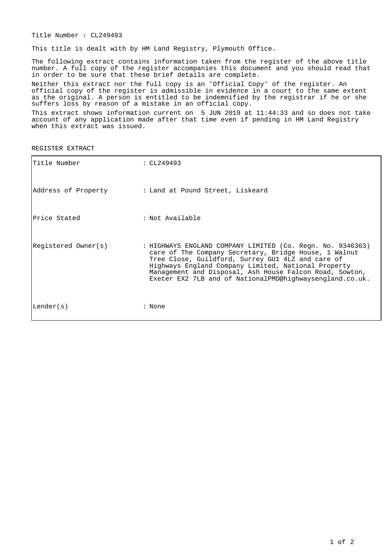Title Number : CL249493

This title is dealt with by HM Land Registry, Plymouth Office.

The following extract contains information taken from the register of the above title number. A full copy of the register accompanies this document and you should read that in order to be sure that these brief details are complete.

Neither this extract nor the full copy is an 'Official Copy' of the register. An official copy of the register is admissible in evidence in a court to the same extent as the original. A person is entitled to be indemnified by the registrar if he or she suffers loss by reason of a mistake in an official copy.

This extract shows information current on 5 JUN 2019 at 11:44:33 and so does not take account of any application made after that time even if pending in HM Land Registry when this extract was issued.

REGISTER EXTRACT

| Title Number        | : $CL249493$                                                                                                                                                                                                                                                                                                                                           |
|---------------------|--------------------------------------------------------------------------------------------------------------------------------------------------------------------------------------------------------------------------------------------------------------------------------------------------------------------------------------------------------|
| Address of Property | : Land at Pound Street, Liskeard                                                                                                                                                                                                                                                                                                                       |
| lPrice Stated       | : Not Available                                                                                                                                                                                                                                                                                                                                        |
| Registered Owner(s) | : HIGHWAYS ENGLAND COMPANY LIMITED (Co. Regn. No. 9346363)<br>care of The Company Secretary, Bridge House, 1 Walnut<br>Tree Close, Guildford, Surrey GU1 4LZ and care of<br>Highways England Company Limited, National Property<br>Management and Disposal, Ash House Falcon Road, Sowton,<br>Exeter EX2 7LB and of NationalPMD@highwaysengland.co.uk. |
| Lender(s)           | : None                                                                                                                                                                                                                                                                                                                                                 |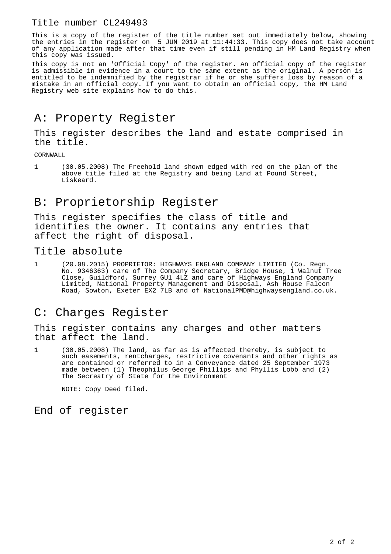#### Title number CL249493

This is a copy of the register of the title number set out immediately below, showing the entries in the register on 5 JUN 2019 at 11:44:33. This copy does not take account of any application made after that time even if still pending in HM Land Registry when this copy was issued.

This copy is not an 'Official Copy' of the register. An official copy of the register is admissible in evidence in a court to the same extent as the original. A person is entitled to be indemnified by the registrar if he or she suffers loss by reason of a mistake in an official copy. If you want to obtain an official copy, the HM Land Registry web site explains how to do this.

## A: Property Register

This register describes the land and estate comprised in the title.

CORNWALL

1 (30.05.2008) The Freehold land shown edged with red on the plan of the above title filed at the Registry and being Land at Pound Street, Liskeard.

## B: Proprietorship Register

This register specifies the class of title and identifies the owner. It contains any entries that affect the right of disposal.

Title absolute

1 (20.08.2015) PROPRIETOR: HIGHWAYS ENGLAND COMPANY LIMITED (Co. Regn. No. 9346363) care of The Company Secretary, Bridge House, 1 Walnut Tree Close, Guildford, Surrey GU1 4LZ and care of Highways England Company Limited, National Property Management and Disposal, Ash House Falcon Road, Sowton, Exeter EX2 7LB and of NationalPMD@highwaysengland.co.uk.

### C: Charges Register

This register contains any charges and other matters that affect the land.

1 (30.05.2008) The land, as far as is affected thereby, is subject to such easements, rentcharges, restrictive covenants and other rights as are contained or referred to in a Conveyance dated 25 September 1973 made between (1) Theophilus George Phillips and Phyllis Lobb and (2) The Secreatry of State for the Environment

NOTE: Copy Deed filed.

#### End of register